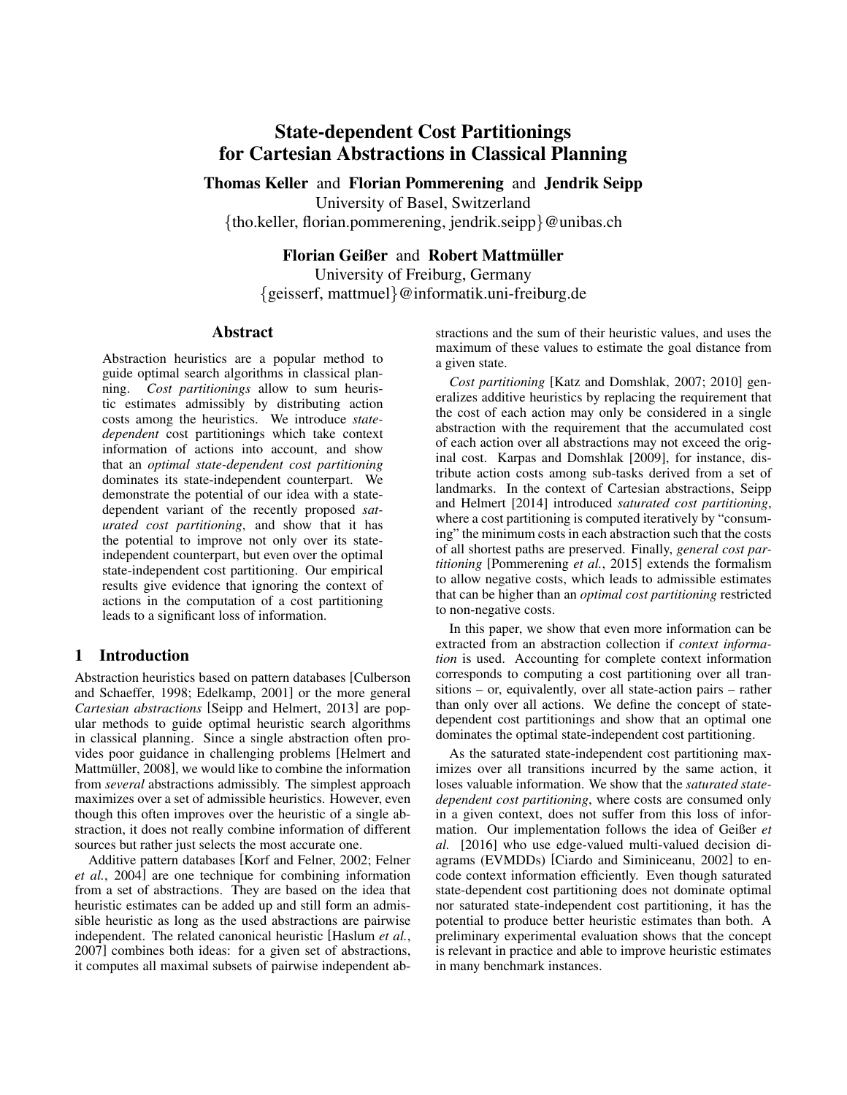# State-dependent Cost Partitionings for Cartesian Abstractions in Classical Planning

Thomas Keller and Florian Pommerening and Jendrik Seipp

University of Basel, Switzerland

{tho.keller, florian.pommerening, jendrik.seipp}@unibas.ch

Florian Geißer and Robert Mattmüller University of Freiburg, Germany {geisserf, mattmuel}@informatik.uni-freiburg.de

#### Abstract

Abstraction heuristics are a popular method to guide optimal search algorithms in classical planning. *Cost partitionings* allow to sum heuristic estimates admissibly by distributing action costs among the heuristics. We introduce *statedependent* cost partitionings which take context information of actions into account, and show that an *optimal state-dependent cost partitioning* dominates its state-independent counterpart. We demonstrate the potential of our idea with a statedependent variant of the recently proposed *saturated cost partitioning*, and show that it has the potential to improve not only over its stateindependent counterpart, but even over the optimal state-independent cost partitioning. Our empirical results give evidence that ignoring the context of actions in the computation of a cost partitioning leads to a significant loss of information.

### 1 Introduction

Abstraction heuristics based on pattern databases [Culberson and Schaeffer, 1998; Edelkamp, 2001] or the more general *Cartesian abstractions* [Seipp and Helmert, 2013] are popular methods to guide optimal heuristic search algorithms in classical planning. Since a single abstraction often provides poor guidance in challenging problems [Helmert and Mattmüller, 2008], we would like to combine the information from *several* abstractions admissibly. The simplest approach maximizes over a set of admissible heuristics. However, even though this often improves over the heuristic of a single abstraction, it does not really combine information of different sources but rather just selects the most accurate one.

Additive pattern databases [Korf and Felner, 2002; Felner *et al.*, 2004] are one technique for combining information from a set of abstractions. They are based on the idea that heuristic estimates can be added up and still form an admissible heuristic as long as the used abstractions are pairwise independent. The related canonical heuristic [Haslum *et al.*, 2007] combines both ideas: for a given set of abstractions, it computes all maximal subsets of pairwise independent abstractions and the sum of their heuristic values, and uses the maximum of these values to estimate the goal distance from a given state.

*Cost partitioning* [Katz and Domshlak, 2007; 2010] generalizes additive heuristics by replacing the requirement that the cost of each action may only be considered in a single abstraction with the requirement that the accumulated cost of each action over all abstractions may not exceed the original cost. Karpas and Domshlak [2009], for instance, distribute action costs among sub-tasks derived from a set of landmarks. In the context of Cartesian abstractions, Seipp and Helmert [2014] introduced *saturated cost partitioning*, where a cost partitioning is computed iteratively by "consuming" the minimum costs in each abstraction such that the costs of all shortest paths are preserved. Finally, *general cost partitioning* [Pommerening *et al.*, 2015] extends the formalism to allow negative costs, which leads to admissible estimates that can be higher than an *optimal cost partitioning* restricted to non-negative costs.

In this paper, we show that even more information can be extracted from an abstraction collection if *context information* is used. Accounting for complete context information corresponds to computing a cost partitioning over all transitions – or, equivalently, over all state-action pairs – rather than only over all actions. We define the concept of statedependent cost partitionings and show that an optimal one dominates the optimal state-independent cost partitioning.

As the saturated state-independent cost partitioning maximizes over all transitions incurred by the same action, it loses valuable information. We show that the *saturated statedependent cost partitioning*, where costs are consumed only in a given context, does not suffer from this loss of information. Our implementation follows the idea of Geißer *et al.* [2016] who use edge-valued multi-valued decision diagrams (EVMDDs) [Ciardo and Siminiceanu, 2002] to encode context information efficiently. Even though saturated state-dependent cost partitioning does not dominate optimal nor saturated state-independent cost partitioning, it has the potential to produce better heuristic estimates than both. A preliminary experimental evaluation shows that the concept is relevant in practice and able to improve heuristic estimates in many benchmark instances.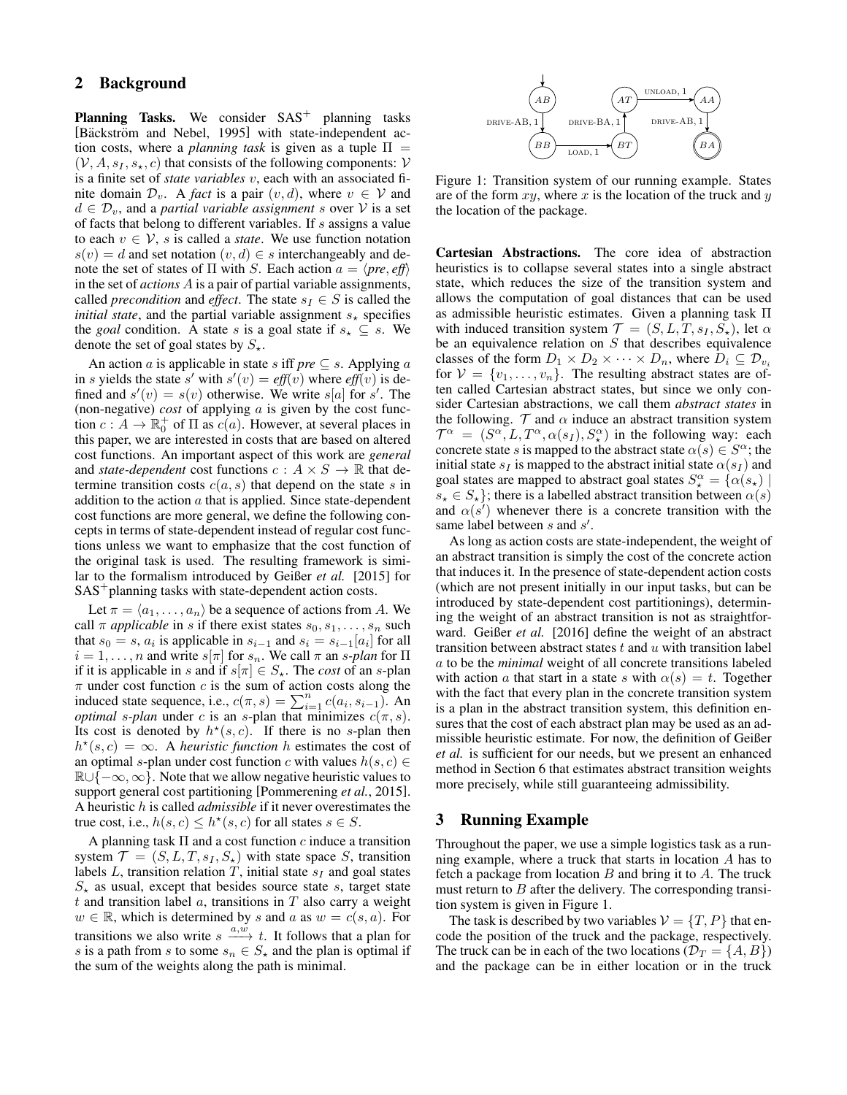#### 2 Background

Planning Tasks. We consider  $SAS<sup>+</sup>$  planning tasks [Bäckström and Nebel, 1995] with state-independent action costs, where a *planning task* is given as a tuple  $\Pi$  =  $(V, A, s<sub>I</sub>, s<sub>*</sub>, c)$  that consists of the following components: V is a finite set of *state variables* v, each with an associated finite domain  $\mathcal{D}_v$ . A *fact* is a pair  $(v, d)$ , where  $v \in V$  and  $d \in \mathcal{D}_v$ , and a *partial variable assignment* s over V is a set of facts that belong to different variables. If  $s$  assigns a value to each  $v \in V$ , s is called a *state*. We use function notation  $s(v) = d$  and set notation  $(v, d) \in s$  interchangeably and denote the set of states of  $\Pi$  with S. Each action  $a = \langle pre, eff \rangle$ in the set of *actions* A is a pair of partial variable assignments, called *precondition* and *effect*. The state  $s_I \in S$  is called the *initial state*, and the partial variable assignment  $s_{\star}$  specifies the *goal* condition. A state s is a goal state if  $s_{\star} \subseteq s$ . We denote the set of goal states by  $S_{\star}$ .

An action *a* is applicable in state *s* iff *pre*  $\subseteq$  *s*. Applying *a* in s yields the state s' with  $s'(v) = eff(v)$  where  $eff(v)$  is defined and  $s'(v) = s(v)$  otherwise. We write  $s[a]$  for  $s'$ . The (non-negative) *cost* of applying a is given by the cost function  $c : A \to \mathbb{R}_0^+$  of  $\Pi$  as  $c(a)$ . However, at several places in this paper, we are interested in costs that are based on altered cost functions. An important aspect of this work are *general* and *state-dependent* cost functions  $c : A \times S \rightarrow \mathbb{R}$  that determine transition costs  $c(a, s)$  that depend on the state s in addition to the action  $a$  that is applied. Since state-dependent cost functions are more general, we define the following concepts in terms of state-dependent instead of regular cost functions unless we want to emphasize that the cost function of the original task is used. The resulting framework is similar to the formalism introduced by Geißer *et al.* [2015] for SAS<sup>+</sup>planning tasks with state-dependent action costs.

Let  $\pi = \langle a_1, \ldots, a_n \rangle$  be a sequence of actions from A. We call  $\pi$  *applicable* in s if there exist states  $s_0, s_1, \ldots, s_n$  such that  $s_0 = s$ ,  $a_i$  is applicable in  $s_{i-1}$  and  $s_i = s_{i-1}[a_i]$  for all  $i = 1, \dots, n$  and write  $s[\pi]$  for  $s_n$ . We call  $\pi$  an  $s$ -plan for  $\Pi$ if it is applicable in s and if  $s[\pi] \in S_{\star}$ . The *cost* of an s-plan  $\pi$  under cost function c is the sum of action costs along the induced state sequence, i.e.,  $c(\pi, s) = \sum_{i=1}^{n} c(a_i, s_{i-1})$ . An *optimal* s-plan under c is an s-plan that minimizes  $c(\pi, s)$ . Its cost is denoted by  $h^*(s, c)$ . If there is no s-plan then  $h^*(s, c) = \infty$ . A *heuristic function* h estimates the cost of an optimal s-plan under cost function c with values  $h(s, c) \in$  $\mathbb{R} \cup \{-\infty, \infty\}$ . Note that we allow negative heuristic values to support general cost partitioning [Pommerening *et al.*, 2015]. A heuristic h is called *admissible* if it never overestimates the true cost, i.e.,  $h(s, c) \leq h^*(s, c)$  for all states  $s \in S$ .

A planning task  $\Pi$  and a cost function c induce a transition system  $\mathcal{T} = (S, L, T, s_I, S_\star)$  with state space S, transition labels L, transition relation T, initial state  $s_I$  and goal states  $S_{\star}$  as usual, except that besides source state s, target state  $t$  and transition label  $a$ , transitions in  $T$  also carry a weight  $w \in \mathbb{R}$ , which is determined by s and a as  $w = c(s, a)$ . For transitions we also write  $s \xrightarrow{a,w} t$ . It follows that a plan for s is a path from s to some  $s_n \in S_{\star}$  and the plan is optimal if the sum of the weights along the path is minimal.



Figure 1: Transition system of our running example. States are of the form  $xy$ , where  $x$  is the location of the truck and  $y$ the location of the package.

Cartesian Abstractions. The core idea of abstraction heuristics is to collapse several states into a single abstract state, which reduces the size of the transition system and allows the computation of goal distances that can be used as admissible heuristic estimates. Given a planning task Π with induced transition system  $\mathcal{T} = (S, L, T, s_I, S_\star)$ , let  $\alpha$ be an equivalence relation on  $S$  that describes equivalence classes of the form  $D_1 \times D_2 \times \cdots \times D_n$ , where  $D_i \subseteq \mathcal{D}_{v_i}$ for  $V = \{v_1, \ldots, v_n\}$ . The resulting abstract states are often called Cartesian abstract states, but since we only consider Cartesian abstractions, we call them *abstract states* in the following.  $\mathcal T$  and  $\alpha$  induce an abstract transition system  $\mathcal{T}^{\alpha} = (S^{\alpha}, L, T^{\alpha}, \alpha(s_I), S^{\alpha})$  in the following way: each concrete state s is mapped to the abstract state  $\alpha(s) \in S^{\alpha}$ ; the initial state  $s_I$  is mapped to the abstract initial state  $\alpha(s_I)$  and goal states are mapped to abstract goal states  $S_{\star}^{\alpha} = {\alpha(s_{\star})}$  $s_{\star} \in S_{\star}$ ; there is a labelled abstract transition between  $\alpha(s)$ and  $\alpha(s')$  whenever there is a concrete transition with the same label between  $s$  and  $s'$ .

As long as action costs are state-independent, the weight of an abstract transition is simply the cost of the concrete action that induces it. In the presence of state-dependent action costs (which are not present initially in our input tasks, but can be introduced by state-dependent cost partitionings), determining the weight of an abstract transition is not as straightforward. Geißer *et al.* [2016] define the weight of an abstract transition between abstract states  $t$  and  $u$  with transition label a to be the *minimal* weight of all concrete transitions labeled with action a that start in a state s with  $\alpha(s) = t$ . Together with the fact that every plan in the concrete transition system is a plan in the abstract transition system, this definition ensures that the cost of each abstract plan may be used as an admissible heuristic estimate. For now, the definition of Geißer *et al.* is sufficient for our needs, but we present an enhanced method in Section 6 that estimates abstract transition weights more precisely, while still guaranteeing admissibility.

#### 3 Running Example

Throughout the paper, we use a simple logistics task as a running example, where a truck that starts in location A has to fetch a package from location  $B$  and bring it to  $A$ . The truck must return to  $B$  after the delivery. The corresponding transition system is given in Figure 1.

The task is described by two variables  $V = \{T, P\}$  that encode the position of the truck and the package, respectively. The truck can be in each of the two locations ( $\mathcal{D}_T = \{A, B\}$ ) and the package can be in either location or in the truck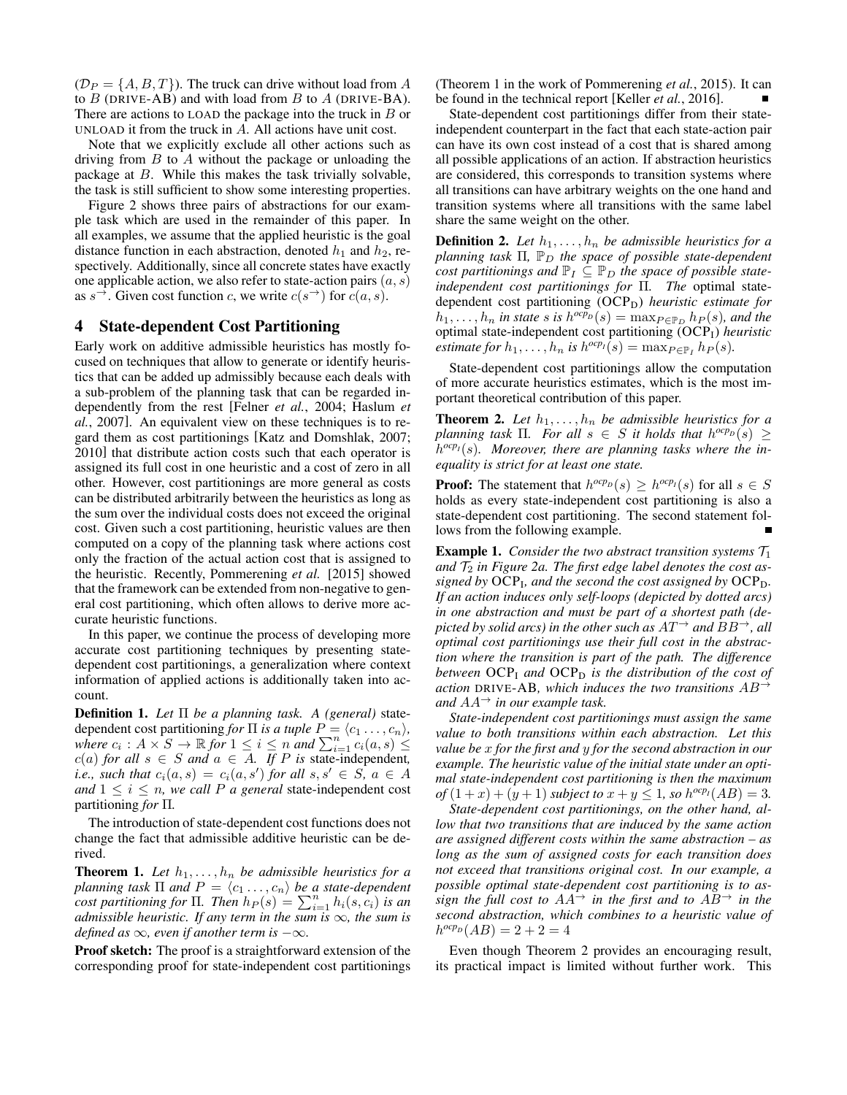$(\mathcal{D}_P = \{A, B, T\})$ . The truck can drive without load from A to  $B$  (DRIVE-AB) and with load from  $B$  to  $A$  (DRIVE-BA). There are actions to LOAD the package into the truck in  $B$  or UNLOAD it from the truck in A. All actions have unit cost.

Note that we explicitly exclude all other actions such as driving from  $B$  to  $A$  without the package or unloading the package at B. While this makes the task trivially solvable, the task is still sufficient to show some interesting properties.

Figure 2 shows three pairs of abstractions for our example task which are used in the remainder of this paper. In all examples, we assume that the applied heuristic is the goal distance function in each abstraction, denoted  $h_1$  and  $h_2$ , respectively. Additionally, since all concrete states have exactly one applicable action, we also refer to state-action pairs  $(a, s)$ as  $s^{\rightarrow}$ . Given cost function c, we write  $c(s^{\rightarrow})$  for  $c(a, s)$ .

#### 4 State-dependent Cost Partitioning

Early work on additive admissible heuristics has mostly focused on techniques that allow to generate or identify heuristics that can be added up admissibly because each deals with a sub-problem of the planning task that can be regarded independently from the rest [Felner *et al.*, 2004; Haslum *et al.*, 2007]. An equivalent view on these techniques is to regard them as cost partitionings [Katz and Domshlak, 2007; 2010] that distribute action costs such that each operator is assigned its full cost in one heuristic and a cost of zero in all other. However, cost partitionings are more general as costs can be distributed arbitrarily between the heuristics as long as the sum over the individual costs does not exceed the original cost. Given such a cost partitioning, heuristic values are then computed on a copy of the planning task where actions cost only the fraction of the actual action cost that is assigned to the heuristic. Recently, Pommerening *et al.* [2015] showed that the framework can be extended from non-negative to general cost partitioning, which often allows to derive more accurate heuristic functions.

In this paper, we continue the process of developing more accurate cost partitioning techniques by presenting statedependent cost partitionings, a generalization where context information of applied actions is additionally taken into account.

Definition 1. *Let* Π *be a planning task. A (general)* statedependent cost partitioning *for*  $\Pi$  *is a tuple*  $P = \langle c_1, \ldots, c_n \rangle$ , *where*  $c_i : A \times S \to \mathbb{R}$  for  $1 \leq i \leq n$  *and*  $\sum_{i=1}^n c_i(a, s) \leq$  $c(a)$  *for all*  $s \in S$  *and*  $a \in A$ *. If*  $P$  *is* state-independent, *i.e., such that*  $c_i(a, s) = c_i(a, s')$  *for all*  $s, s' \in S$ ,  $a \in A$ *and*  $1 \leq i \leq n$ *, we call P a general state-independent cost* partitioning *for* Π*.*

The introduction of state-dependent cost functions does not change the fact that admissible additive heuristic can be derived.

**Theorem 1.** Let  $h_1, \ldots, h_n$  be admissible heuristics for a *planning task*  $\Pi$  *and*  $P = \langle c_1 \ldots, c_n \rangle$  *be a state-dependent cost partitioning for*  $\Pi$ *. Then*  $h_P(s) = \sum_{i=1}^n h_i(s, c_i)$  *is an admissible heuristic. If any term in the sum is*  $\infty$ *, the sum is defined as*  $\infty$ *, even if another term is*  $-\infty$ *.* 

Proof sketch: The proof is a straightforward extension of the corresponding proof for state-independent cost partitionings (Theorem 1 in the work of Pommerening *et al.*, 2015). It can be found in the technical report [Keller *et al.*, 2016].

State-dependent cost partitionings differ from their stateindependent counterpart in the fact that each state-action pair can have its own cost instead of a cost that is shared among all possible applications of an action. If abstraction heuristics are considered, this corresponds to transition systems where all transitions can have arbitrary weights on the one hand and transition systems where all transitions with the same label share the same weight on the other.

**Definition 2.** Let  $h_1, \ldots, h_n$  be admissible heuristics for a *planning task* Π,  $\mathbb{P}_D$  *the space of possible state-dependent cost partitionings and*  $\mathbb{P}_I \subseteq \mathbb{P}_D$  *the space of possible stateindependent cost partitionings for* Π*. The* optimal statedependent cost partitioning (OCP<sub>D</sub>) *heuristic estimate for*  $h_1, \ldots, h_n$  in state s is  $h^{ocp}(\mathcal{S}) = \max_{P \in \mathbb{P}_D} h_P(\mathcal{S})$ , and the optimal state-independent cost partitioning (OCPI) *heuristic estimate for*  $h_1, \ldots, h_n$  *is*  $h^{ocp_I}(s) = \max_{P \in \mathbb{P}_I} h_P(s)$ *.* 

State-dependent cost partitionings allow the computation of more accurate heuristics estimates, which is the most important theoretical contribution of this paper.

**Theorem 2.** Let  $h_1, \ldots, h_n$  be admissible heuristics for a *planning task*  $\Pi$ *. For all*  $s \in S$  *it holds that*  $h^{ocp_D}(s) \ge$  $h^{ocp_I}(s)$ . Moreover, there are planning tasks where the in*equality is strict for at least one state.*

**Proof:** The statement that  $h^{ocp}D(s) \geq h^{ocp}D(s)$  for all  $s \in S$ holds as every state-independent cost partitioning is also a state-dependent cost partitioning. The second statement follows from the following example.

**Example 1.** *Consider the two abstract transition systems*  $\mathcal{T}_1$ and  $\mathcal{T}_2$  in Figure 2a. The first edge label denotes the cost as*signed by* OCP<sup>I</sup> *, and the second the cost assigned by* OCPD*. If an action induces only self-loops (depicted by dotted arcs) in one abstraction and must be part of a shortest path (depicted by solid arcs) in the other such as*  $AT^{\rightarrow}$  *and*  $BB^{\rightarrow}$ *, all optimal cost partitionings use their full cost in the abstraction where the transition is part of the path. The difference between* OCP<sub>I</sub> and OCP<sub>D</sub> *is the distribution of the cost of action* DRIVE-AB, which induces the two transitions  $AB^{\rightharpoonup}$ *and*  $AA^{\rightarrow}$  *in our example task.* 

*State-independent cost partitionings must assign the same value to both transitions within each abstraction. Let this value be* x *for the first and* y *for the second abstraction in our example. The heuristic value of the initial state under an optimal state-independent cost partitioning is then the maximum of*  $(1+x)+(y+1)$  *subject to*  $x+y \leq 1$ *, so*  $h^{ocp}I(AB) = 3$ .

*State-dependent cost partitionings, on the other hand, allow that two transitions that are induced by the same action are assigned different costs within the same abstraction – as long as the sum of assigned costs for each transition does not exceed that transitions original cost. In our example, a possible optimal state-dependent cost partitioning is to assign the full cost to*  $AA^{\rightarrow}$  *in the first and to*  $AB^{\rightarrow}$  *in the second abstraction, which combines to a heuristic value of*  $h^{ocp}D(AB) = 2 + 2 = 4$ 

Even though Theorem 2 provides an encouraging result, its practical impact is limited without further work. This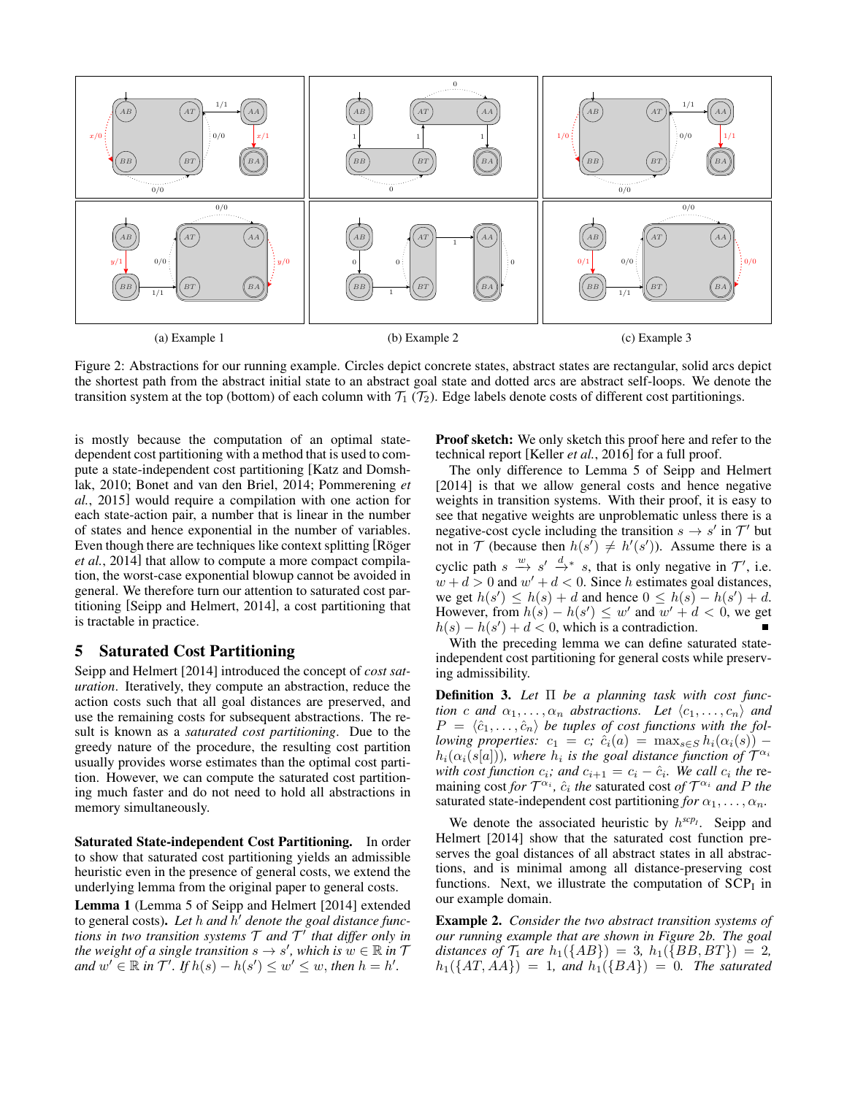

Figure 2: Abstractions for our running example. Circles depict concrete states, abstract states are rectangular, solid arcs depict the shortest path from the abstract initial state to an abstract goal state and dotted arcs are abstract self-loops. We denote the transition system at the top (bottom) of each column with  $\mathcal{T}_1$  ( $\mathcal{T}_2$ ). Edge labels denote costs of different cost partitionings.

is mostly because the computation of an optimal statedependent cost partitioning with a method that is used to compute a state-independent cost partitioning [Katz and Domshlak, 2010; Bonet and van den Briel, 2014; Pommerening *et al.*, 2015] would require a compilation with one action for each state-action pair, a number that is linear in the number of states and hence exponential in the number of variables. Even though there are techniques like context splitting [Röger] *et al.*, 2014] that allow to compute a more compact compilation, the worst-case exponential blowup cannot be avoided in general. We therefore turn our attention to saturated cost partitioning [Seipp and Helmert, 2014], a cost partitioning that is tractable in practice.

#### 5 Saturated Cost Partitioning

Seipp and Helmert [2014] introduced the concept of *cost saturation*. Iteratively, they compute an abstraction, reduce the action costs such that all goal distances are preserved, and use the remaining costs for subsequent abstractions. The result is known as a *saturated cost partitioning*. Due to the greedy nature of the procedure, the resulting cost partition usually provides worse estimates than the optimal cost partition. However, we can compute the saturated cost partitioning much faster and do not need to hold all abstractions in memory simultaneously.

Saturated State-independent Cost Partitioning. In order to show that saturated cost partitioning yields an admissible heuristic even in the presence of general costs, we extend the underlying lemma from the original paper to general costs.

Lemma 1 (Lemma 5 of Seipp and Helmert [2014] extended to general costs). Let h and  $\hat{h}'$  denote the goal distance func*tions in two transition systems*  $\mathcal T$  *and*  $\mathcal T'$  *that differ only in the weight of a single transition*  $s \to s'$ , which is  $w \in \mathbb{R}$  in T *and*  $w' \in \mathbb{R}$  *in*  $\mathcal{T}'$ *. If*  $h(s) - h(s') \leq w' \leq w$ *, then*  $h = h'$ *.* 

Proof sketch: We only sketch this proof here and refer to the technical report [Keller *et al.*, 2016] for a full proof.

The only difference to Lemma 5 of Seipp and Helmert [2014] is that we allow general costs and hence negative weights in transition systems. With their proof, it is easy to see that negative weights are unproblematic unless there is a negative-cost cycle including the transition  $s \to s'$  in  $\mathcal{T}'$  but not in  $\mathcal T$  (because then  $h(s^{\mathcal T}) \neq h'(s')$ ). Assume there is a cyclic path  $s \xrightarrow{w} s' \xrightarrow{d} s$ , that is only negative in  $\mathcal{T}'$ , i.e.  $w + d > 0$  and  $w' + d < 0$ . Since h estimates goal distances, we get  $h(s') \leq h(s) + d$  and hence  $0 \leq h(s) - h(s') + d$ . However, from  $h(s) - h(s') \leq w'$  and  $w' + d < 0$ , we get  $h(s) - h(s') + d < 0$ , which is a contradiction.

With the preceding lemma we can define saturated stateindependent cost partitioning for general costs while preserving admissibility.

Definition 3. *Let* Π *be a planning task with cost function* c and  $\alpha_1, \ldots, \alpha_n$  abstractions. Let  $\langle c_1, \ldots, c_n \rangle$  and  $P = \langle \hat{c}_1, \ldots, \hat{c}_n \rangle$  be tuples of cost functions with the fol*lowing properties:*  $c_1 = c$ ;  $\hat{c}_i(a) = \max_{s \in S} h_i(\alpha_i(s))$  –  $h_i(\alpha_i(s[a]))$ , where  $h_i$  is the goal distance function of  $\mathcal{T}^{\alpha_i}$ *with cost function*  $c_i$ *; and*  $c_{i+1} = c_i - \hat{c}_i$ *. We call*  $c_i$  the remaining cost *for*  $T^{\alpha_i}$ ,  $\hat{c}_i$  *the* saturated cost *of*  $T^{\alpha_i}$  *and P the* saturated state-independent cost partitioning *for*  $\alpha_1, \ldots, \alpha_n$ .

We denote the associated heuristic by  $h^{scp_I}$ . Seipp and Helmert [2014] show that the saturated cost function preserves the goal distances of all abstract states in all abstractions, and is minimal among all distance-preserving cost functions. Next, we illustrate the computation of  ${SCP<sub>I</sub>}$  in our example domain.

Example 2. *Consider the two abstract transition systems of our running example that are shown in Figure 2b. The goal distances of*  $\mathcal{T}_1$  *are*  $h_1({AB}) = 3$ *,*  $h_1({BB, BT}) = 2$ *,*  $h_1({\{AT,AA\}}) = 1$ , and  $h_1({\{BA\}}) = 0$ . The saturated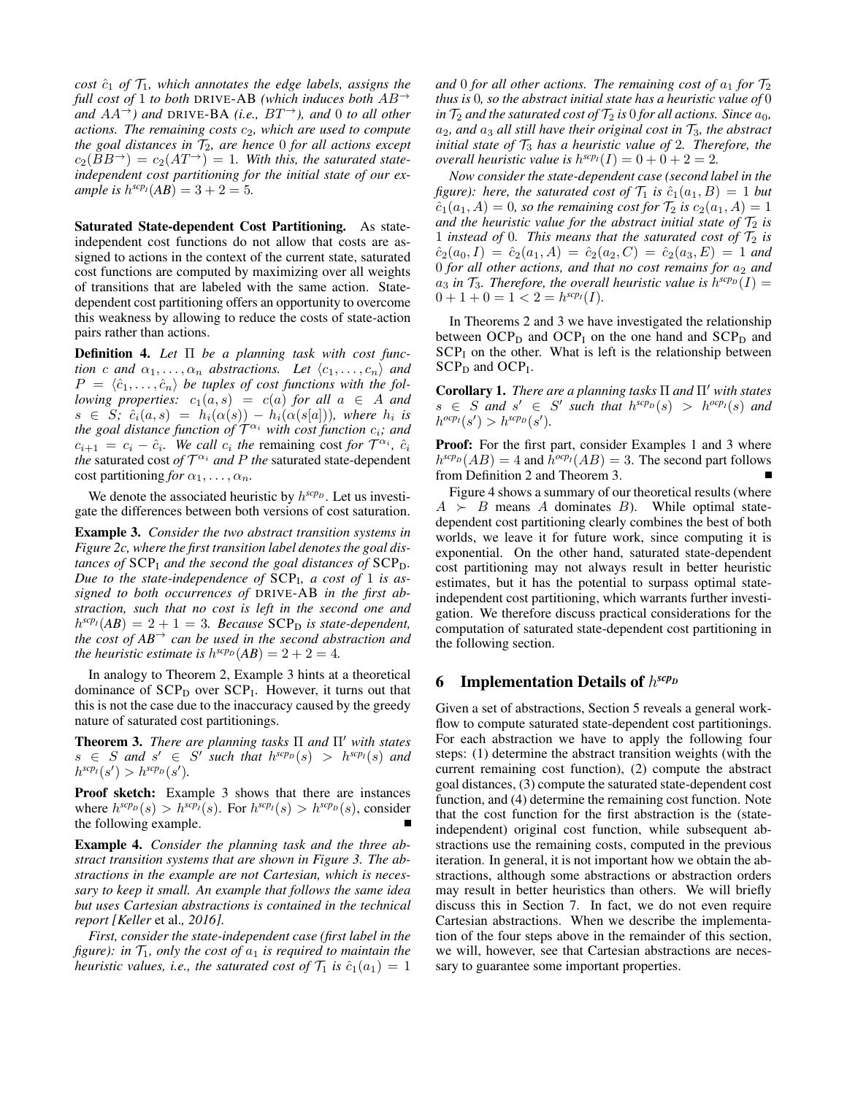*cost*  $\hat{c}_1$  *of*  $\mathcal{T}_1$ *, which annotates the edge labels, assigns the full cost of* 1 *to both* DRIVE-AB *(which induces both*  $AB^{\rightarrow}$ *and*  $AA^{\rightarrow}$ *)* and DRIVE-BA (*i.e.,*  $BT^{\rightarrow}$ *), and* 0 *to all other actions. The remaining costs*  $c_2$ *, which are used to compute the goal distances in*  $\mathcal{T}_2$ *, are hence* 0 *for all actions except*  $c_2(BB^{\rightarrow}) = c_2(AT^{\rightarrow}) = 1$ . With this, the saturated state*independent cost partitioning for the initial state of our example is*  $h^{scp_I}(AB) = 3 + 2 = 5$ *.* 

Saturated State-dependent Cost Partitioning. As stateindependent cost functions do not allow that costs are assigned to actions in the context of the current state, saturated cost functions are computed by maximizing over all weights of transitions that are labeled with the same action. Statedependent cost partitioning offers an opportunity to overcome this weakness by allowing to reduce the costs of state-action pairs rather than actions.

Definition 4. *Let* Π *be a planning task with cost function* c and  $\alpha_1, \ldots, \alpha_n$  abstractions. Let  $\langle c_1, \ldots, c_n \rangle$  and  $P = \langle \hat{c}_1, \ldots, \hat{c}_n \rangle$  be tuples of cost functions with the fol*lowing properties:*  $c_1(a, s) = c(a)$  *for all*  $a \in A$  *and*  $s \in S$ ;  $\hat{c}_i(a,s) = h_i(\alpha(s)) - h_i(\alpha(s[a]))$ , where  $h_i$  is *the goal distance function of* T <sup>α</sup><sup>i</sup> *with cost function* ci*; and*  $c_{i+1} = c_i - \hat{c}_i$ . We call  $c_i$  the remaining cost for  $\mathcal{T}^{\alpha_i}$ ,  $\hat{c}_i$ *the* saturated cost *of*  $T^{\alpha_i}$  *and P the* saturated state-dependent cost partitioning *for*  $\alpha_1, \ldots, \alpha_n$ .

We denote the associated heuristic by  $h^{rcp}D$ . Let us investigate the differences between both versions of cost saturation.

Example 3. *Consider the two abstract transition systems in Figure 2c, where the first transition label denotes the goal distances of*  $SCP<sub>I</sub>$  *and the second the goal distances of*  $SCP<sub>D</sub>$ *. Due to the state-independence of* SCP<sup>I</sup> *, a cost of* 1 *is assigned to both occurrences of* DRIVE-AB *in the first abstraction, such that no cost is left in the second one and*  $h^{sep_I}(AB) = 2 + 1 = 3$ *. Because* SCP<sub>D</sub> *is state-dependent, the cost of*  $AB^{\rightarrow}$  *can be used in the second abstraction and the heuristic estimate is*  $h^{rcp}(AB) = 2 + 2 = 4$ *.* 

In analogy to Theorem 2, Example 3 hints at a theoretical dominance of  $SCP<sub>D</sub>$  over  $SCP<sub>I</sub>$ . However, it turns out that this is not the case due to the inaccuracy caused by the greedy nature of saturated cost partitionings.

**Theorem 3.** *There are planning tasks*  $\Pi$  *and*  $\Pi'$  *with states*  $s \in S$  and  $s' \in S'$  such that  $h^{scp}D(s) > h^{scp}D(s)$  and  $h^{scp}(s') > h^{scp}(s').$ 

Proof sketch: Example 3 shows that there are instances where  $h^{sep}(s) > h^{sep}(s)$ . For  $h^{sep}(s) > h^{sep}(s)$ , consider the following example.

Example 4. *Consider the planning task and the three abstract transition systems that are shown in Figure 3. The abstractions in the example are not Cartesian, which is necessary to keep it small. An example that follows the same idea but uses Cartesian abstractions is contained in the technical report [Keller* et al.*, 2016].*

*First, consider the state-independent case (first label in the figure): in*  $\mathcal{T}_1$ *, only the cost of*  $a_1$  *is required to maintain the heuristic values, i.e., the saturated cost of*  $\mathcal{T}_1$  *is*  $\hat{c}_1(a_1) = 1$  and 0 for all other actions. The remaining cost of  $a_1$  for  $\mathcal{T}_2$ *thus is* 0*, so the abstract initial state has a heuristic value of* 0 *in*  $\mathcal{T}_2$  *and the saturated cost of*  $\mathcal{T}_2$  *is* 0 *for all actions. Since*  $a_0$ *,*  $a_2$ , and  $a_3$  all still have their original cost in  $\mathcal{T}_3$ , the abstract *initial state of*  $\mathcal{T}_3$  *has a heuristic value of* 2*. Therefore, the overall heuristic value is*  $h^{scp_I}(I) = 0 + 0 + 2 = 2$ *.* 

*Now consider the state-dependent case (second label in the figure): here, the saturated cost of*  $\mathcal{T}_1$  *is*  $\hat{c}_1(a_1, B) = 1$  *but*  $\hat{c}_1(a_1, A) = 0$ , so the remaining cost for  $\mathcal{T}_2$  is  $c_2(a_1, A) = 1$ *and the heuristic value for the abstract initial state of*  $\mathcal{T}_2$  *is* 1 *instead of* 0*. This means that the saturated cost of*  $\mathcal{T}_2$  *is*  $\hat{c}_2(a_0,I) = \hat{c}_2(a_1,A) = \hat{c}_2(a_2,C) = \hat{c}_2(a_3,E) = 1$  and 0 for all other actions, and that no cost remains for  $a_2$  and  $a_3$  *in*  $\mathcal{T}_3$ *. Therefore, the overall heuristic value is*  $h^{sep}(I)$  =  $0 + 1 + 0 = 1 < 2 = h^{scp_I}(I).$ 

In Theorems 2 and 3 we have investigated the relationship between  $OCP<sub>D</sub>$  and  $OCP<sub>I</sub>$  on the one hand and  $SCP<sub>D</sub>$  and  $SCP<sub>I</sub>$  on the other. What is left is the relationship between  $\text{SCP}_\text{D}$  and  $\text{OCP}_\text{I}$ .

**Corollary 1.** *There are a planning tasks*  $\Pi$  *and*  $\Pi'$  *with states*  $s \in S$  *and*  $s' \in S'$  *such that*  $h^{scp}(s) > h^{ocp}(s)$  *and*  $h^{ocp}I(s') > h^{scp}D(s').$ 

Proof: For the first part, consider Examples 1 and 3 where  $h^{rcp}(AB) = 4$  and  $\bar{h}^{ocp}(AB) = 3$ . The second part follows from Definition 2 and Theorem 3.

Figure 4 shows a summary of our theoretical results (where  $A \succeq B$  means A dominates B). While optimal statedependent cost partitioning clearly combines the best of both worlds, we leave it for future work, since computing it is exponential. On the other hand, saturated state-dependent cost partitioning may not always result in better heuristic estimates, but it has the potential to surpass optimal stateindependent cost partitioning, which warrants further investigation. We therefore discuss practical considerations for the computation of saturated state-dependent cost partitioning in the following section.

## 6 Implementation Details of h *scp<sup>D</sup>*

Given a set of abstractions, Section 5 reveals a general workflow to compute saturated state-dependent cost partitionings. For each abstraction we have to apply the following four steps: (1) determine the abstract transition weights (with the current remaining cost function), (2) compute the abstract goal distances, (3) compute the saturated state-dependent cost function, and (4) determine the remaining cost function. Note that the cost function for the first abstraction is the (stateindependent) original cost function, while subsequent abstractions use the remaining costs, computed in the previous iteration. In general, it is not important how we obtain the abstractions, although some abstractions or abstraction orders may result in better heuristics than others. We will briefly discuss this in Section 7. In fact, we do not even require Cartesian abstractions. When we describe the implementation of the four steps above in the remainder of this section, we will, however, see that Cartesian abstractions are necessary to guarantee some important properties.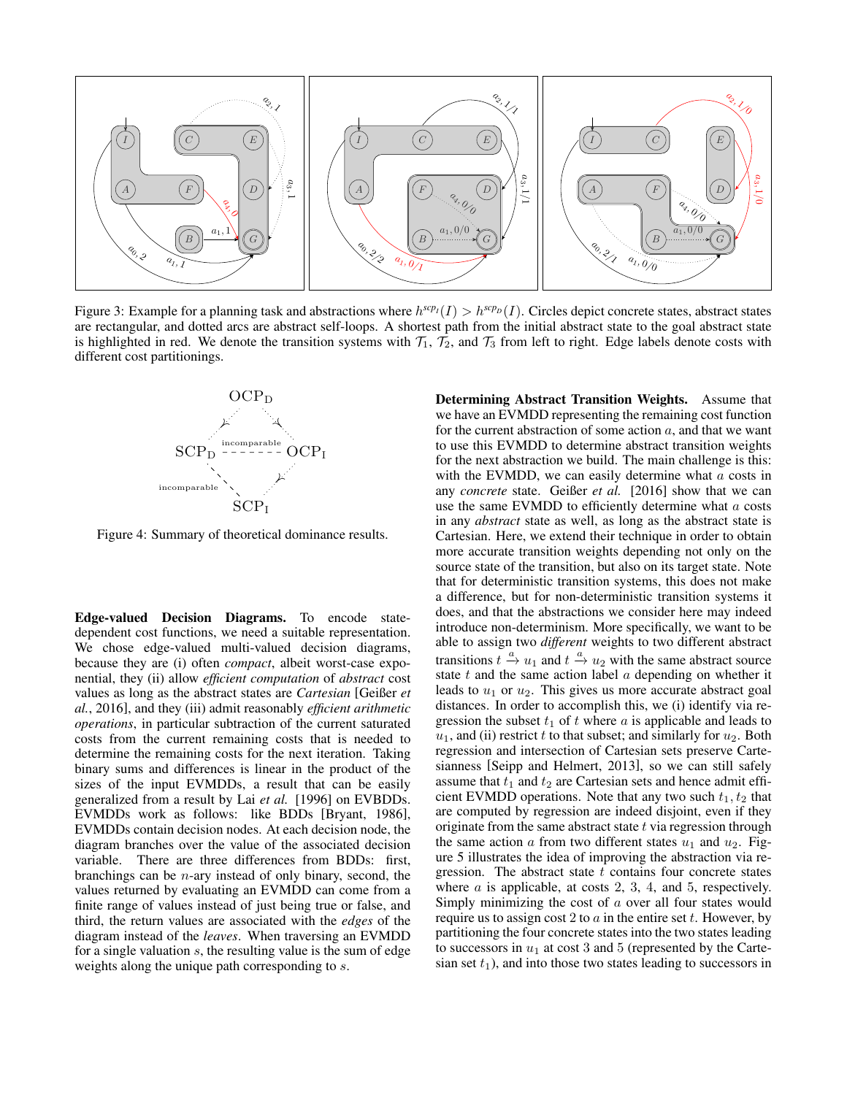

Figure 3: Example for a planning task and abstractions where  $h^{sep}(I) > h^{sep}(I)$ . Circles depict concrete states, abstract states are rectangular, and dotted arcs are abstract self-loops. A shortest path from the initial abstract state to the goal abstract state is highlighted in red. We denote the transition systems with  $\mathcal{T}_1$ ,  $\mathcal{T}_2$ , and  $\mathcal{T}_3$  from left to right. Edge labels denote costs with different cost partitionings.



Figure 4: Summary of theoretical dominance results.

Edge-valued Decision Diagrams. To encode statedependent cost functions, we need a suitable representation. We chose edge-valued multi-valued decision diagrams, because they are (i) often *compact*, albeit worst-case exponential, they (ii) allow *efficient computation* of *abstract* cost values as long as the abstract states are *Cartesian* [Geißer *et al.*, 2016], and they (iii) admit reasonably *efficient arithmetic operations*, in particular subtraction of the current saturated costs from the current remaining costs that is needed to determine the remaining costs for the next iteration. Taking binary sums and differences is linear in the product of the sizes of the input EVMDDs, a result that can be easily generalized from a result by Lai *et al.* [1996] on EVBDDs. EVMDDs work as follows: like BDDs [Bryant, 1986], EVMDDs contain decision nodes. At each decision node, the diagram branches over the value of the associated decision variable. There are three differences from BDDs: first, branchings can be  $n$ -ary instead of only binary, second, the values returned by evaluating an EVMDD can come from a finite range of values instead of just being true or false, and third, the return values are associated with the *edges* of the diagram instead of the *leaves*. When traversing an EVMDD for a single valuation  $s$ , the resulting value is the sum of edge weights along the unique path corresponding to s.

Determining Abstract Transition Weights. Assume that we have an EVMDD representing the remaining cost function for the current abstraction of some action  $a$ , and that we want to use this EVMDD to determine abstract transition weights for the next abstraction we build. The main challenge is this: with the EVMDD, we can easily determine what  $a$  costs in any *concrete* state. Geißer *et al.* [2016] show that we can use the same EVMDD to efficiently determine what a costs in any *abstract* state as well, as long as the abstract state is Cartesian. Here, we extend their technique in order to obtain more accurate transition weights depending not only on the source state of the transition, but also on its target state. Note that for deterministic transition systems, this does not make a difference, but for non-deterministic transition systems it does, and that the abstractions we consider here may indeed introduce non-determinism. More specifically, we want to be able to assign two *different* weights to two different abstract transitions  $t \xrightarrow{a} u_1$  and  $t \xrightarrow{a} u_2$  with the same abstract source state  $t$  and the same action label  $a$  depending on whether it leads to  $u_1$  or  $u_2$ . This gives us more accurate abstract goal distances. In order to accomplish this, we (i) identify via regression the subset  $t_1$  of  $t$  where  $a$  is applicable and leads to  $u_1$ , and (ii) restrict t to that subset; and similarly for  $u_2$ . Both regression and intersection of Cartesian sets preserve Cartesianness [Seipp and Helmert, 2013], so we can still safely assume that  $t_1$  and  $t_2$  are Cartesian sets and hence admit efficient EVMDD operations. Note that any two such  $t_1, t_2$  that are computed by regression are indeed disjoint, even if they originate from the same abstract state  $t$  via regression through the same action a from two different states  $u_1$  and  $u_2$ . Figure 5 illustrates the idea of improving the abstraction via regression. The abstract state  $t$  contains four concrete states where  $a$  is applicable, at costs 2, 3, 4, and 5, respectively. Simply minimizing the cost of  $a$  over all four states would require us to assign cost 2 to  $a$  in the entire set  $t$ . However, by partitioning the four concrete states into the two states leading to successors in  $u_1$  at cost 3 and 5 (represented by the Cartesian set  $t_1$ ), and into those two states leading to successors in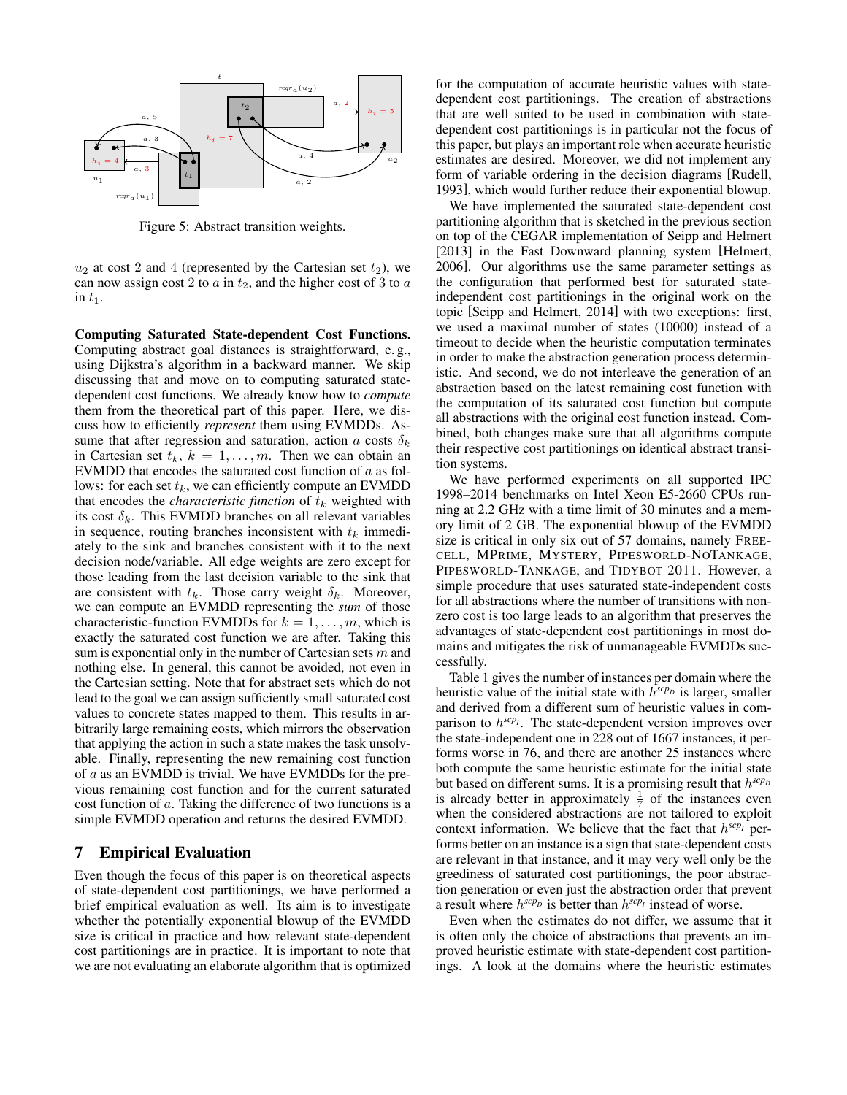

Figure 5: Abstract transition weights.

 $u_2$  at cost 2 and 4 (represented by the Cartesian set  $t_2$ ), we can now assign cost 2 to  $a$  in  $t_2$ , and the higher cost of 3 to  $a$ in  $t_1$ .

Computing Saturated State-dependent Cost Functions. Computing abstract goal distances is straightforward, e. g., using Dijkstra's algorithm in a backward manner. We skip discussing that and move on to computing saturated statedependent cost functions. We already know how to *compute* them from the theoretical part of this paper. Here, we discuss how to efficiently *represent* them using EVMDDs. Assume that after regression and saturation, action a costs  $\delta_k$ in Cartesian set  $t_k$ ,  $k = 1, \ldots, m$ . Then we can obtain an EVMDD that encodes the saturated cost function of  $a$  as follows: for each set  $t_k$ , we can efficiently compute an EVMDD that encodes the *characteristic function* of  $t_k$  weighted with its cost  $\delta_k$ . This EVMDD branches on all relevant variables in sequence, routing branches inconsistent with  $t_k$  immediately to the sink and branches consistent with it to the next decision node/variable. All edge weights are zero except for those leading from the last decision variable to the sink that are consistent with  $t_k$ . Those carry weight  $\delta_k$ . Moreover, we can compute an EVMDD representing the *sum* of those characteristic-function EVMDDs for  $k = 1, \ldots, m$ , which is exactly the saturated cost function we are after. Taking this sum is exponential only in the number of Cartesian sets  $m$  and nothing else. In general, this cannot be avoided, not even in the Cartesian setting. Note that for abstract sets which do not lead to the goal we can assign sufficiently small saturated cost values to concrete states mapped to them. This results in arbitrarily large remaining costs, which mirrors the observation that applying the action in such a state makes the task unsolvable. Finally, representing the new remaining cost function of a as an EVMDD is trivial. We have EVMDDs for the previous remaining cost function and for the current saturated cost function of a. Taking the difference of two functions is a simple EVMDD operation and returns the desired EVMDD.

#### 7 Empirical Evaluation

Even though the focus of this paper is on theoretical aspects of state-dependent cost partitionings, we have performed a brief empirical evaluation as well. Its aim is to investigate whether the potentially exponential blowup of the EVMDD size is critical in practice and how relevant state-dependent cost partitionings are in practice. It is important to note that we are not evaluating an elaborate algorithm that is optimized for the computation of accurate heuristic values with statedependent cost partitionings. The creation of abstractions that are well suited to be used in combination with statedependent cost partitionings is in particular not the focus of this paper, but plays an important role when accurate heuristic estimates are desired. Moreover, we did not implement any form of variable ordering in the decision diagrams [Rudell, 1993], which would further reduce their exponential blowup.

We have implemented the saturated state-dependent cost partitioning algorithm that is sketched in the previous section on top of the CEGAR implementation of Seipp and Helmert [2013] in the Fast Downward planning system [Helmert, 2006]. Our algorithms use the same parameter settings as the configuration that performed best for saturated stateindependent cost partitionings in the original work on the topic [Seipp and Helmert, 2014] with two exceptions: first, we used a maximal number of states (10000) instead of a timeout to decide when the heuristic computation terminates in order to make the abstraction generation process deterministic. And second, we do not interleave the generation of an abstraction based on the latest remaining cost function with the computation of its saturated cost function but compute all abstractions with the original cost function instead. Combined, both changes make sure that all algorithms compute their respective cost partitionings on identical abstract transition systems.

We have performed experiments on all supported IPC 1998–2014 benchmarks on Intel Xeon E5-2660 CPUs running at 2.2 GHz with a time limit of 30 minutes and a memory limit of 2 GB. The exponential blowup of the EVMDD size is critical in only six out of 57 domains, namely FREE-CELL, MPRIME, MYSTERY, PIPESWORLD-NOTANKAGE, PIPESWORLD-TANKAGE, and TIDYBOT 2011. However, a simple procedure that uses saturated state-independent costs for all abstractions where the number of transitions with nonzero cost is too large leads to an algorithm that preserves the advantages of state-dependent cost partitionings in most domains and mitigates the risk of unmanageable EVMDDs successfully.

Table 1 gives the number of instances per domain where the heuristic value of the initial state with  $h^{scp}$  is larger, smaller and derived from a different sum of heuristic values in comparison to  $h^{scp}$ *I*. The state-dependent version improves over the state-independent one in 228 out of 1667 instances, it performs worse in 76, and there are another 25 instances where both compute the same heuristic estimate for the initial state but based on different sums. It is a promising result that  $h^{scp}D$ is already better in approximately  $\frac{1}{7}$  of the instances even when the considered abstractions are not tailored to exploit context information. We believe that the fact that  $h^{scp_I}$  performs better on an instance is a sign that state-dependent costs are relevant in that instance, and it may very well only be the greediness of saturated cost partitionings, the poor abstraction generation or even just the abstraction order that prevent a result where  $h^{scp}$  is better than  $h^{scp}$  instead of worse.

Even when the estimates do not differ, we assume that it is often only the choice of abstractions that prevents an improved heuristic estimate with state-dependent cost partitionings. A look at the domains where the heuristic estimates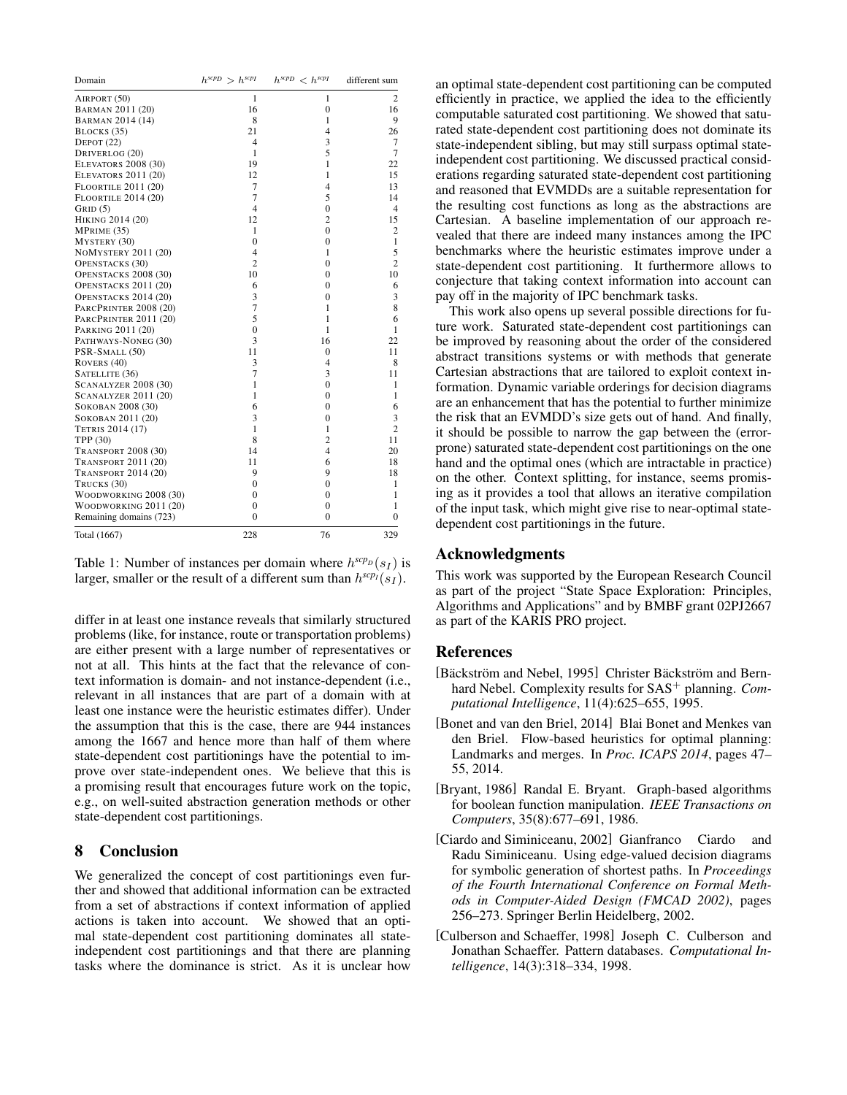| Domain                      | $h^{scp} > h^{scp}$ | $h^{scp}$ < $h^{scp}$ | different sum  |
|-----------------------------|---------------------|-----------------------|----------------|
| AIRPORT (50)                | 1                   | 1                     | 2              |
| BARMAN 2011 (20)            | 16                  | $\mathbf{0}$          | 16             |
| BARMAN 2014 (14)            | 8                   | 1                     | 9              |
| BLOCKS (35)                 | 21                  | $\overline{4}$        | 26             |
| DEPOT $(22)$                | $\overline{4}$      | 3                     | $\overline{7}$ |
| DRIVERLOG (20)              | $\mathbf{1}$        | 5                     | $\overline{7}$ |
| <b>ELEVATORS 2008 (30)</b>  | 19                  | $\mathbf{1}$          | 22             |
| <b>ELEVATORS 2011 (20)</b>  | 12                  | 1                     | 15             |
| <b>FLOORTILE 2011 (20)</b>  | $\overline{7}$      | $\overline{4}$        | 13             |
| <b>FLOORTILE 2014 (20)</b>  | $\overline{7}$      | 5                     | 14             |
| GRID(5)                     | $\overline{4}$      | $\boldsymbol{0}$      | $\overline{4}$ |
| HIKING 2014 (20)            | 12                  | $\overline{c}$        | 15             |
| MPRIME (35)                 | 1                   | $\overline{0}$        | $\overline{2}$ |
| MYSTERY (30)                | $\overline{0}$      | $\boldsymbol{0}$      | $\mathbf{1}$   |
| <b>NOMYSTERY 2011 (20)</b>  | $\overline{4}$      | 1                     | 5              |
| <b>OPENSTACKS</b> (30)      | $\overline{c}$      | $\mathbf{0}$          | $\overline{c}$ |
| OPENSTACKS 2008 (30)        | 10                  | $\mathbf{0}$          | 10             |
| OPENSTACKS 2011 (20)        | 6                   | $\mathbf{0}$          | 6              |
| OPENSTACKS 2014 (20)        | 3                   | $\boldsymbol{0}$      | 3              |
| PARCPRINTER 2008 (20)       | $\overline{7}$      | $\mathbf{1}$          | 8              |
| PARCPRINTER 2011 (20)       | 5                   | $\mathbf{1}$          | 6              |
| PARKING 2011 (20)           | $\overline{0}$      | $\mathbf{1}$          | 1              |
| PATHWAYS-NONEG (30)         | 3                   | 16                    | 22             |
| PSR-SMALL (50)              | 11                  | $\boldsymbol{0}$      | 11             |
| ROVERS (40)                 | 3                   | 4                     | 8              |
| SATELLITE (36)              | 7                   | 3                     | 11             |
| <b>SCANALYZER 2008 (30)</b> | $\mathbf{1}$        | $\boldsymbol{0}$      | 1              |
| <b>SCANALYZER 2011 (20)</b> | $\mathbf{1}$        | $\boldsymbol{0}$      | 1              |
| SOKOBAN 2008 (30)           | 6                   | $\mathbf{0}$          | 6              |
| SOKOBAN 2011 (20)           | 3                   | $\boldsymbol{0}$      | 3              |
| TETRIS 2014 (17)            | $\mathbf{1}$        | $\mathbf{1}$          | $\overline{c}$ |
| TPP (30)                    | 8                   | $\overline{c}$        | 11             |
| <b>TRANSPORT 2008 (30)</b>  | 14                  | $\overline{4}$        | 20             |
| <b>TRANSPORT 2011 (20)</b>  | 11                  | 6                     | 18             |
| <b>TRANSPORT 2014 (20)</b>  | 9                   | 9                     | 18             |
| TRUCKS (30)                 | $\overline{0}$      | $\overline{0}$        | 1              |
| WOODWORKING 2008 (30)       | $\mathbf{0}$        | $\mathbf{0}$          | 1              |
| WOODWORKING 2011 (20)       | $\mathbf{0}$        | $\mathbf{0}$          | 1              |
| Remaining domains (723)     | $\mathbf{0}$        | $\mathbf{0}$          | 0              |
| Total (1667)                | 228                 | 76                    | 329            |

Table 1: Number of instances per domain where  $h^{scp}(s_I)$  is larger, smaller or the result of a different sum than  $h^{sep}(s_I)$ .

differ in at least one instance reveals that similarly structured problems (like, for instance, route or transportation problems) are either present with a large number of representatives or not at all. This hints at the fact that the relevance of context information is domain- and not instance-dependent (i.e., relevant in all instances that are part of a domain with at least one instance were the heuristic estimates differ). Under the assumption that this is the case, there are 944 instances among the 1667 and hence more than half of them where state-dependent cost partitionings have the potential to improve over state-independent ones. We believe that this is a promising result that encourages future work on the topic, e.g., on well-suited abstraction generation methods or other state-dependent cost partitionings.

### 8 Conclusion

We generalized the concept of cost partitionings even further and showed that additional information can be extracted from a set of abstractions if context information of applied actions is taken into account. We showed that an optimal state-dependent cost partitioning dominates all stateindependent cost partitionings and that there are planning tasks where the dominance is strict. As it is unclear how an optimal state-dependent cost partitioning can be computed efficiently in practice, we applied the idea to the efficiently computable saturated cost partitioning. We showed that saturated state-dependent cost partitioning does not dominate its state-independent sibling, but may still surpass optimal stateindependent cost partitioning. We discussed practical considerations regarding saturated state-dependent cost partitioning and reasoned that EVMDDs are a suitable representation for the resulting cost functions as long as the abstractions are Cartesian. A baseline implementation of our approach revealed that there are indeed many instances among the IPC benchmarks where the heuristic estimates improve under a state-dependent cost partitioning. It furthermore allows to conjecture that taking context information into account can pay off in the majority of IPC benchmark tasks.

This work also opens up several possible directions for future work. Saturated state-dependent cost partitionings can be improved by reasoning about the order of the considered abstract transitions systems or with methods that generate Cartesian abstractions that are tailored to exploit context information. Dynamic variable orderings for decision diagrams are an enhancement that has the potential to further minimize the risk that an EVMDD's size gets out of hand. And finally, it should be possible to narrow the gap between the (errorprone) saturated state-dependent cost partitionings on the one hand and the optimal ones (which are intractable in practice) on the other. Context splitting, for instance, seems promising as it provides a tool that allows an iterative compilation of the input task, which might give rise to near-optimal statedependent cost partitionings in the future.

#### Acknowledgments

This work was supported by the European Research Council as part of the project "State Space Exploration: Principles, Algorithms and Applications" and by BMBF grant 02PJ2667 as part of the KARIS PRO project.

#### References

- [Bäckström and Nebel, 1995] Christer Bäckström and Bernhard Nebel. Complexity results for SAS<sup>+</sup> planning. *Computational Intelligence*, 11(4):625–655, 1995.
- [Bonet and van den Briel, 2014] Blai Bonet and Menkes van den Briel. Flow-based heuristics for optimal planning: Landmarks and merges. In *Proc. ICAPS 2014*, pages 47– 55, 2014.
- [Bryant, 1986] Randal E. Bryant. Graph-based algorithms for boolean function manipulation. *IEEE Transactions on Computers*, 35(8):677–691, 1986.
- [Ciardo and Siminiceanu, 2002] Gianfranco Ciardo and Radu Siminiceanu. Using edge-valued decision diagrams for symbolic generation of shortest paths. In *Proceedings of the Fourth International Conference on Formal Methods in Computer-Aided Design (FMCAD 2002)*, pages 256–273. Springer Berlin Heidelberg, 2002.
- [Culberson and Schaeffer, 1998] Joseph C. Culberson and Jonathan Schaeffer. Pattern databases. *Computational Intelligence*, 14(3):318–334, 1998.